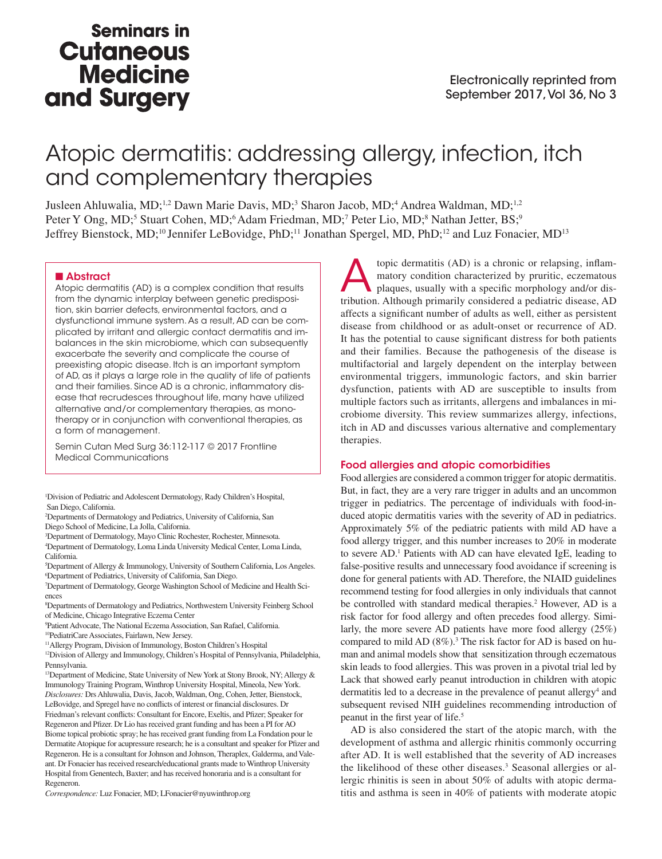## **Seminars in Cutaneous Medicine** and Surgery

# Atopic dermatitis: addressing allergy, infection, itch and complementary therapies

Jusleen Ahluwalia, MD;<sup>1,2</sup> Dawn Marie Davis, MD;<sup>3</sup> Sharon Jacob, MD;<sup>4</sup> Andrea Waldman, MD;<sup>1,2</sup> Peter Y Ong, MD;<sup>5</sup> Stuart Cohen, MD;<sup>6</sup> Adam Friedman, MD;<sup>7</sup> Peter Lio, MD;<sup>8</sup> Nathan Jetter, BS;<sup>9</sup> Jeffrey Bienstock, MD;<sup>10</sup> Jennifer LeBovidge, PhD;<sup>11</sup> Jonathan Spergel, MD, PhD;<sup>12</sup> and Luz Fonacier, MD<sup>13</sup>

## ■ Abstract

Atopic dermatitis (AD) is a complex condition that results from the dynamic interplay between genetic predisposition, skin barrier defects, environmental factors, and a dysfunctional immune system. As a result, AD can be complicated by irritant and allergic contact dermatitis and imbalances in the skin microbiome, which can subsequently exacerbate the severity and complicate the course of preexisting atopic disease. Itch is an important symptom of AD, as it plays a large role in the quality of life of patients and their families. Since AD is a chronic, inflammatory disease that recrudesces throughout life, many have utilized alternative and/or complementary therapies, as monotherapy or in conjunction with conventional therapies, as a form of management.

Semin Cutan Med Surg 36:112-117 © 2017 Frontline Medical Communications

1 Division of Pediatric and Adolescent Dermatology, Rady Children's Hospital, San Diego, California.

2 Departments of Dermatology and Pediatrics, University of California, San Diego School of Medicine, La Jolla, California.

3 Department of Dermatology, Mayo Clinic Rochester, Rochester, Minnesota.

4 Department of Dermatology, Loma Linda University Medical Center, Loma Linda, California.

5 Department of Allergy & Immunology, University of Southern California, Los Angeles. 6 Department of Pediatrics, University of California, San Diego.

7 Department of Dermatology, George Washington School of Medicine and Health Sciences

8 Departments of Dermatology and Pediatrics, Northwestern University Feinberg School of Medicine, Chicago Integrative Eczema Center

9 Patient Advocate, The National Eczema Association, San Rafael, California.

10PediatriCare Associates, Fairlawn, New Jersey.

11Allergy Program, Division of Immunology, Boston Children's Hospital

<sup>12</sup>Division of Allergy and Immunology, Children's Hospital of Pennsylvania, Philadelphia, Pennsylvania.

<sup>13</sup>Department of Medicine, State University of New York at Stony Brook, NY; Allergy & Immunology Training Program, Winthrop University Hospital, Mineola, New York. *Disclosures:* Drs Ahluwalia, Davis, Jacob, Waldman, Ong, Cohen, Jetter, Bienstock, LeBovidge, and Spregel have no conflicts of interest or financial disclosures. Dr Friedman's relevant conflicts: Consultant for Encore, Exeltis, and Pfizer; Speaker for Regeneron and Pfizer. Dr Lio has received grant funding and has been a PI for AO Biome topical probiotic spray; he has received grant funding from La Fondation pour le Dermatite Atopique for acupressure research; he is a consultant and speaker for Pfizer and Regeneron. He is a consultant for Johnson and Johnson, Theraplex, Galderma, and Valeant. Dr Fonacier has received research/educational grants made to Winthrop University Hospital from Genentech, Baxter; and has received honoraria and is a consultant for Regeneron.

*Correspondence:* Luz Fonacier, MD; LFonacier@nyuwinthrop.org

topic dermatitis (AD) is a chronic or relapsing, inflam-<br>matory condition characterized by pruritic, eczematous<br>plaques, usually with a specific morphology and/or dis-<br>tribution. Although primarily considered a pediatric d matory condition characterized by pruritic, eczematous plaques, usually with a specific morphology and/or distribution. Although primarily considered a pediatric disease, AD affects a significant number of adults as well, either as persistent disease from childhood or as adult-onset or recurrence of AD. It has the potential to cause significant distress for both patients and their families. Because the pathogenesis of the disease is multifactorial and largely dependent on the interplay between environmental triggers, immunologic factors, and skin barrier dysfunction, patients with AD are susceptible to insults from multiple factors such as irritants, allergens and imbalances in microbiome diversity. This review summarizes allergy, infections, itch in AD and discusses various alternative and complementary therapies.

## Food allergies and atopic comorbidities

Food allergies are considered a common trigger for atopic dermatitis. But, in fact, they are a very rare trigger in adults and an uncommon trigger in pediatrics. The percentage of individuals with food-induced atopic dermatitis varies with the severity of AD in pediatrics. Approximately 5% of the pediatric patients with mild AD have a food allergy trigger, and this number increases to 20% in moderate to severe AD.<sup>1</sup> Patients with AD can have elevated IgE, leading to false-positive results and unnecessary food avoidance if screening is done for general patients with AD. Therefore, the NIAID guidelines recommend testing for food allergies in only individuals that cannot be controlled with standard medical therapies.<sup>2</sup> However, AD is a risk factor for food allergy and often precedes food allergy. Similarly, the more severe AD patients have more food allergy (25%) compared to mild AD (8%).<sup>3</sup> The risk factor for AD is based on human and animal models show that sensitization through eczematous skin leads to food allergies. This was proven in a pivotal trial led by Lack that showed early peanut introduction in children with atopic dermatitis led to a decrease in the prevalence of peanut allergy<sup>4</sup> and subsequent revised NIH guidelines recommending introduction of peanut in the first year of life.5

AD is also considered the start of the atopic march, with the development of asthma and allergic rhinitis commonly occurring after AD. It is well established that the severity of AD increases the likelihood of these other diseases.<sup>3</sup> Seasonal allergies or allergic rhinitis is seen in about 50% of adults with atopic dermatitis and asthma is seen in 40% of patients with moderate atopic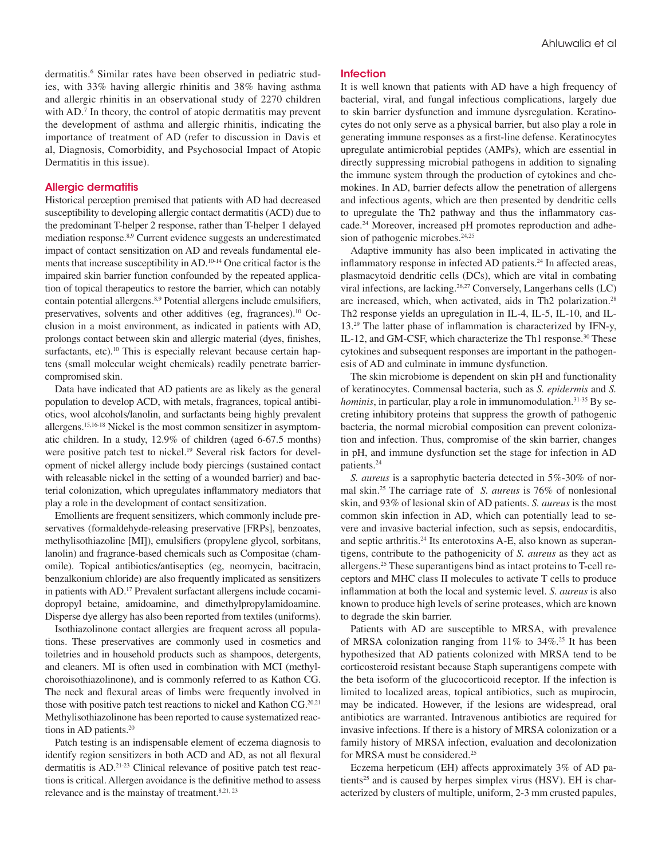dermatitis.<sup>6</sup> Similar rates have been observed in pediatric studies, with 33% having allergic rhinitis and 38% having asthma and allergic rhinitis in an observational study of 2270 children with AD.<sup>7</sup> In theory, the control of atopic dermatitis may prevent the development of asthma and allergic rhinitis, indicating the importance of treatment of AD (refer to discussion in Davis et al, Diagnosis, Comorbidity, and Psychosocial Impact of Atopic Dermatitis in this issue).

## Allergic dermatitis

Historical perception premised that patients with AD had decreased susceptibility to developing allergic contact dermatitis (ACD) due to the predominant T-helper 2 response, rather than T-helper 1 delayed mediation response.8,9 Current evidence suggests an underestimated impact of contact sensitization on AD and reveals fundamental elements that increase susceptibility in AD.10-14 One critical factor is the impaired skin barrier function confounded by the repeated application of topical therapeutics to restore the barrier, which can notably contain potential allergens.8,9 Potential allergens include emulsifiers, preservatives, solvents and other additives (eg, fragrances).10 Occlusion in a moist environment, as indicated in patients with AD, prolongs contact between skin and allergic material (dyes, finishes, surfactants, etc).<sup>10</sup> This is especially relevant because certain haptens (small molecular weight chemicals) readily penetrate barriercompromised skin.

Data have indicated that AD patients are as likely as the general population to develop ACD, with metals, fragrances, topical antibiotics, wool alcohols/lanolin, and surfactants being highly prevalent allergens.15,16-18 Nickel is the most common sensitizer in asymptomatic children. In a study, 12.9% of children (aged 6-67.5 months) were positive patch test to nickel.<sup>19</sup> Several risk factors for development of nickel allergy include body piercings (sustained contact with releasable nickel in the setting of a wounded barrier) and bacterial colonization, which upregulates inflammatory mediators that play a role in the development of contact sensitization.

Emollients are frequent sensitizers, which commonly include preservatives (formaldehyde-releasing preservative [FRPs], benzoates, methylisothiazoline [MI]), emulsifiers (propylene glycol, sorbitans, lanolin) and fragrance-based chemicals such as Compositae (chamomile). Topical antibiotics/antiseptics (eg, neomycin, bacitracin, benzalkonium chloride) are also frequently implicated as sensitizers in patients with AD.<sup>17</sup> Prevalent surfactant allergens include cocamidopropyl betaine, amidoamine, and dimethylpropylamidoamine. Disperse dye allergy has also been reported from textiles (uniforms).

Isothiazolinone contact allergies are frequent across all populations. These preservatives are commonly used in cosmetics and toiletries and in household products such as shampoos, detergents, and cleaners. MI is often used in combination with MCI (methylchoroisothiazolinone), and is commonly referred to as Kathon CG. The neck and flexural areas of limbs were frequently involved in those with positive patch test reactions to nickel and Kathon CG.<sup>20,21</sup> Methylisothiazolinone has been reported to cause systematized reactions in AD patients.<sup>20</sup>

Patch testing is an indispensable element of eczema diagnosis to identify region sensitizers in both ACD and AD, as not all flexural dermatitis is AD.21-23 Clinical relevance of positive patch test reactions is critical. Allergen avoidance is the definitive method to assess relevance and is the mainstay of treatment.<sup>8,21, 23</sup>

## Infection

It is well known that patients with AD have a high frequency of bacterial, viral, and fungal infectious complications, largely due to skin barrier dysfunction and immune dysregulation. Keratinocytes do not only serve as a physical barrier, but also play a role in generating immune responses as a first-line defense. Keratinocytes upregulate antimicrobial peptides (AMPs), which are essential in directly suppressing microbial pathogens in addition to signaling the immune system through the production of cytokines and chemokines. In AD, barrier defects allow the penetration of allergens and infectious agents, which are then presented by dendritic cells to upregulate the Th2 pathway and thus the inflammatory cascade.24 Moreover, increased pH promotes reproduction and adhesion of pathogenic microbes.<sup>24,25</sup>

Adaptive immunity has also been implicated in activating the inflammatory response in infected AD patients.<sup>24</sup> In affected areas, plasmacytoid dendritic cells (DCs), which are vital in combating viral infections, are lacking.26,27 Conversely, Langerhans cells (LC) are increased, which, when activated, aids in Th2 polarization.28 Th2 response yields an upregulation in IL-4, IL-5, IL-10, and IL-13.29 The latter phase of inflammation is characterized by IFN-y, IL-12, and GM-CSF, which characterize the Th1 response.<sup>30</sup> These cytokines and subsequent responses are important in the pathogenesis of AD and culminate in immune dysfunction.

The skin microbiome is dependent on skin pH and functionality of keratinocytes. Commensal bacteria, such as *S. epidermis* and *S. hominis*, in particular, play a role in immunomodulation.<sup>31-35</sup> By secreting inhibitory proteins that suppress the growth of pathogenic bacteria, the normal microbial composition can prevent colonization and infection. Thus, compromise of the skin barrier, changes in pH, and immune dysfunction set the stage for infection in AD patients.24

*S. aureus* is a saprophytic bacteria detected in 5%-30% of normal skin.25 The carriage rate of *S. aureus* is 76% of nonlesional skin, and 93% of lesional skin of AD patients. *S. aureus* is the most common skin infection in AD, which can potentially lead to severe and invasive bacterial infection, such as sepsis, endocarditis, and septic arthritis.<sup>24</sup> Its enterotoxins A-E, also known as superantigens, contribute to the pathogenicity of *S. aureus* as they act as allergens.25 These superantigens bind as intact proteins to T-cell receptors and MHC class II molecules to activate T cells to produce inflammation at both the local and systemic level. *S. aureus* is also known to produce high levels of serine proteases, which are known to degrade the skin barrier.

Patients with AD are susceptible to MRSA, with prevalence of MRSA colonization ranging from 11% to 34%.25 It has been hypothesized that AD patients colonized with MRSA tend to be corticosteroid resistant because Staph superantigens compete with the beta isoform of the glucocorticoid receptor. If the infection is limited to localized areas, topical antibiotics, such as mupirocin, may be indicated. However, if the lesions are widespread, oral antibiotics are warranted. Intravenous antibiotics are required for invasive infections. If there is a history of MRSA colonization or a family history of MRSA infection, evaluation and decolonization for MRSA must be considered.25

Eczema herpeticum (EH) affects approximately 3% of AD patients<sup>25</sup> and is caused by herpes simplex virus (HSV). EH is characterized by clusters of multiple, uniform, 2-3 mm crusted papules,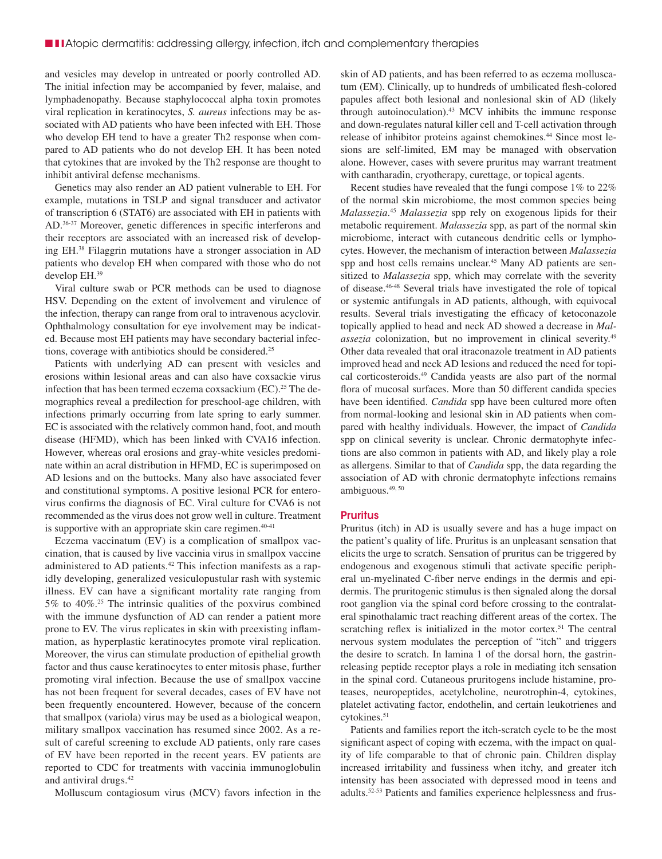and vesicles may develop in untreated or poorly controlled AD. The initial infection may be accompanied by fever, malaise, and lymphadenopathy. Because staphylococcal alpha toxin promotes viral replication in keratinocytes, *S. aureus* infections may be associated with AD patients who have been infected with EH. Those who develop EH tend to have a greater Th2 response when compared to AD patients who do not develop EH. It has been noted that cytokines that are invoked by the Th2 response are thought to inhibit antiviral defense mechanisms.

Genetics may also render an AD patient vulnerable to EH. For example, mutations in TSLP and signal transducer and activator of transcription 6 (STAT6) are associated with EH in patients with AD.36-37 Moreover, genetic differences in specific interferons and their receptors are associated with an increased risk of developing EH.38 Filaggrin mutations have a stronger association in AD patients who develop EH when compared with those who do not develop EH.39

Viral culture swab or PCR methods can be used to diagnose HSV. Depending on the extent of involvement and virulence of the infection, therapy can range from oral to intravenous acyclovir. Ophthalmology consultation for eye involvement may be indicated. Because most EH patients may have secondary bacterial infections, coverage with antibiotics should be considered.<sup>25</sup>

Patients with underlying AD can present with vesicles and erosions within lesional areas and can also have coxsackie virus infection that has been termed eczema coxsackium  $(EC)$ .<sup>25</sup> The demographics reveal a predilection for preschool-age children, with infections primarly occurring from late spring to early summer. EC is associated with the relatively common hand, foot, and mouth disease (HFMD), which has been linked with CVA16 infection. However, whereas oral erosions and gray-white vesicles predominate within an acral distribution in HFMD, EC is superimposed on AD lesions and on the buttocks. Many also have associated fever and constitutional symptoms. A positive lesional PCR for enterovirus confirms the diagnosis of EC. Viral culture for CVA6 is not recommended as the virus does not grow well in culture. Treatment is supportive with an appropriate skin care regimen.<sup>40-41</sup>

Eczema vaccinatum (EV) is a complication of smallpox vaccination, that is caused by live vaccinia virus in smallpox vaccine administered to AD patients.42 This infection manifests as a rapidly developing, generalized vesiculopustular rash with systemic illness. EV can have a significant mortality rate ranging from 5% to 40%.25 The intrinsic qualities of the poxvirus combined with the immune dysfunction of AD can render a patient more prone to EV. The virus replicates in skin with preexisting inflammation, as hyperplastic keratinocytes promote viral replication. Moreover, the virus can stimulate production of epithelial growth factor and thus cause keratinocytes to enter mitosis phase, further promoting viral infection. Because the use of smallpox vaccine has not been frequent for several decades, cases of EV have not been frequently encountered. However, because of the concern that smallpox (variola) virus may be used as a biological weapon, military smallpox vaccination has resumed since 2002. As a result of careful screening to exclude AD patients, only rare cases of EV have been reported in the recent years. EV patients are reported to CDC for treatments with vaccinia immunoglobulin and antiviral drugs.42

Molluscum contagiosum virus (MCV) favors infection in the

skin of AD patients, and has been referred to as eczema molluscatum (EM). Clinically, up to hundreds of umbilicated flesh-colored papules affect both lesional and nonlesional skin of AD (likely through autoinoculation).43 MCV inhibits the immune response and down-regulates natural killer cell and T-cell activation through release of inhibitor proteins against chemokines.<sup>44</sup> Since most lesions are self-limited, EM may be managed with observation alone. However, cases with severe pruritus may warrant treatment with cantharadin, cryotherapy, curettage, or topical agents.

Recent studies have revealed that the fungi compose 1% to 22% of the normal skin microbiome, the most common species being *Malassezia*. <sup>45</sup> *Malassezia* spp rely on exogenous lipids for their metabolic requirement. *Malassezia* spp, as part of the normal skin microbiome, interact with cutaneous dendritic cells or lymphocytes. However, the mechanism of interaction between *Malassezia* spp and host cells remains unclear.<sup>45</sup> Many AD patients are sensitized to *Malassezia* spp, which may correlate with the severity of disease.46-48 Several trials have investigated the role of topical or systemic antifungals in AD patients, although, with equivocal results. Several trials investigating the efficacy of ketoconazole topically applied to head and neck AD showed a decrease in *Malassezia* colonization, but no improvement in clinical severity.49 Other data revealed that oral itraconazole treatment in AD patients improved head and neck AD lesions and reduced the need for topical corticosteroids.49 Candida yeasts are also part of the normal flora of mucosal surfaces. More than 50 different candida species have been identified. *Candida* spp have been cultured more often from normal-looking and lesional skin in AD patients when compared with healthy individuals. However, the impact of *Candida* spp on clinical severity is unclear. Chronic dermatophyte infections are also common in patients with AD, and likely play a role as allergens. Similar to that of *Candida* spp, the data regarding the association of AD with chronic dermatophyte infections remains ambiguous.49, 50

## **Pruritus**

Pruritus (itch) in AD is usually severe and has a huge impact on the patient's quality of life. Pruritus is an unpleasant sensation that elicits the urge to scratch. Sensation of pruritus can be triggered by endogenous and exogenous stimuli that activate specific peripheral un-myelinated C-fiber nerve endings in the dermis and epidermis. The pruritogenic stimulus is then signaled along the dorsal root ganglion via the spinal cord before crossing to the contralateral spinothalamic tract reaching different areas of the cortex. The scratching reflex is initialized in the motor cortex.<sup>51</sup> The central nervous system modulates the perception of "itch" and triggers the desire to scratch. In lamina 1 of the dorsal horn, the gastrinreleasing peptide receptor plays a role in mediating itch sensation in the spinal cord. Cutaneous pruritogens include histamine, proteases, neuropeptides, acetylcholine, neurotrophin-4, cytokines, platelet activating factor, endothelin, and certain leukotrienes and cytokines.<sup>51</sup>

Patients and families report the itch-scratch cycle to be the most significant aspect of coping with eczema, with the impact on quality of life comparable to that of chronic pain. Children display increased irritability and fussiness when itchy, and greater itch intensity has been associated with depressed mood in teens and adults.52-53 Patients and families experience helplessness and frus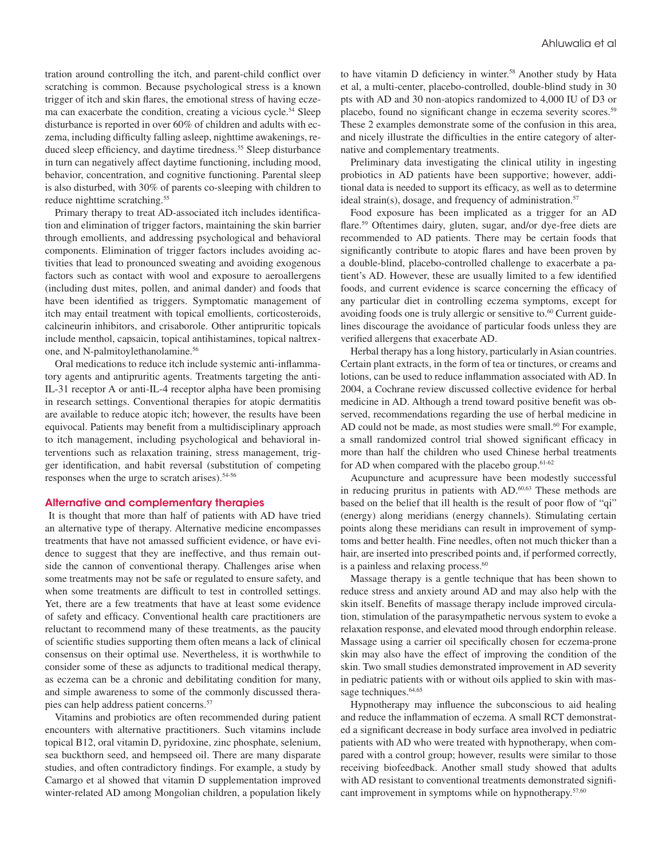tration around controlling the itch, and parent-child conflict over scratching is common. Because psychological stress is a known trigger of itch and skin flares, the emotional stress of having eczema can exacerbate the condition, creating a vicious cycle.<sup>54</sup> Sleep disturbance is reported in over 60% of children and adults with eczema, including difficulty falling asleep, nighttime awakenings, reduced sleep efficiency, and daytime tiredness.<sup>55</sup> Sleep disturbance in turn can negatively affect daytime functioning, including mood, behavior, concentration, and cognitive functioning. Parental sleep is also disturbed, with 30% of parents co-sleeping with children to reduce nighttime scratching.<sup>55</sup>

Primary therapy to treat AD-associated itch includes identification and elimination of trigger factors, maintaining the skin barrier through emollients, and addressing psychological and behavioral components. Elimination of trigger factors includes avoiding activities that lead to pronounced sweating and avoiding exogenous factors such as contact with wool and exposure to aeroallergens (including dust mites, pollen, and animal dander) and foods that have been identified as triggers. Symptomatic management of itch may entail treatment with topical emollients, corticosteroids, calcineurin inhibitors, and crisaborole. Other antipruritic topicals include menthol, capsaicin, topical antihistamines, topical naltrexone, and N-palmitoylethanolamine.<sup>56</sup>

Oral medications to reduce itch include systemic anti-inflammatory agents and antipruritic agents. Treatments targeting the anti-IL-31 receptor A or anti-IL-4 receptor alpha have been promising in research settings. Conventional therapies for atopic dermatitis are available to reduce atopic itch; however, the results have been equivocal. Patients may benefit from a multidisciplinary approach to itch management, including psychological and behavioral interventions such as relaxation training, stress management, trigger identification, and habit reversal (substitution of competing responses when the urge to scratch arises).<sup>54-56</sup>

## Alternative and complementary therapies

 It is thought that more than half of patients with AD have tried an alternative type of therapy. Alternative medicine encompasses treatments that have not amassed sufficient evidence, or have evidence to suggest that they are ineffective, and thus remain outside the cannon of conventional therapy. Challenges arise when some treatments may not be safe or regulated to ensure safety, and when some treatments are difficult to test in controlled settings. Yet, there are a few treatments that have at least some evidence of safety and efficacy. Conventional health care practitioners are reluctant to recommend many of these treatments, as the paucity of scientific studies supporting them often means a lack of clinical consensus on their optimal use. Nevertheless, it is worthwhile to consider some of these as adjuncts to traditional medical therapy, as eczema can be a chronic and debilitating condition for many, and simple awareness to some of the commonly discussed therapies can help address patient concerns.<sup>57</sup>

Vitamins and probiotics are often recommended during patient encounters with alternative practitioners. Such vitamins include topical B12, oral vitamin D, pyridoxine, zinc phosphate, selenium, sea buckthorn seed, and hempseed oil. There are many disparate studies, and often contradictory findings. For example, a study by Camargo et al showed that vitamin D supplementation improved winter-related AD among Mongolian children, a population likely to have vitamin D deficiency in winter.<sup>58</sup> Another study by Hata et al, a multi-center, placebo-controlled, double-blind study in 30 pts with AD and 30 non-atopics randomized to 4,000 IU of D3 or placebo, found no significant change in eczema severity scores.59 These 2 examples demonstrate some of the confusion in this area, and nicely illustrate the difficulties in the entire category of alternative and complementary treatments.

Preliminary data investigating the clinical utility in ingesting probiotics in AD patients have been supportive; however, additional data is needed to support its efficacy, as well as to determine ideal strain(s), dosage, and frequency of administration.<sup>57</sup>

Food exposure has been implicated as a trigger for an AD flare.<sup>59</sup> Oftentimes dairy, gluten, sugar, and/or dye-free diets are recommended to AD patients. There may be certain foods that significantly contribute to atopic flares and have been proven by a double-blind, placebo-controlled challenge to exacerbate a patient's AD. However, these are usually limited to a few identified foods, and current evidence is scarce concerning the efficacy of any particular diet in controlling eczema symptoms, except for avoiding foods one is truly allergic or sensitive to.<sup>60</sup> Current guidelines discourage the avoidance of particular foods unless they are verified allergens that exacerbate AD.

Herbal therapy has a long history, particularly in Asian countries. Certain plant extracts, in the form of tea or tinctures, or creams and lotions, can be used to reduce inflammation associated with AD. In 2004, a Cochrane review discussed collective evidence for herbal medicine in AD. Although a trend toward positive benefit was observed, recommendations regarding the use of herbal medicine in AD could not be made, as most studies were small.<sup>60</sup> For example, a small randomized control trial showed significant efficacy in more than half the children who used Chinese herbal treatments for AD when compared with the placebo group. $61-62$ 

Acupuncture and acupressure have been modestly successful in reducing pruritus in patients with AD.<sup>60,63</sup> These methods are based on the belief that ill health is the result of poor flow of "qi" (energy) along meridians (energy channels). Stimulating certain points along these meridians can result in improvement of symptoms and better health. Fine needles, often not much thicker than a hair, are inserted into prescribed points and, if performed correctly, is a painless and relaxing process.<sup>60</sup>

Massage therapy is a gentle technique that has been shown to reduce stress and anxiety around AD and may also help with the skin itself. Benefits of massage therapy include improved circulation, stimulation of the parasympathetic nervous system to evoke a relaxation response, and elevated mood through endorphin release. Massage using a carrier oil specifically chosen for eczema-prone skin may also have the effect of improving the condition of the skin. Two small studies demonstrated improvement in AD severity in pediatric patients with or without oils applied to skin with massage techniques.<sup>64,65</sup>

Hypnotherapy may influence the subconscious to aid healing and reduce the inflammation of eczema. A small RCT demonstrated a significant decrease in body surface area involved in pediatric patients with AD who were treated with hypnotherapy, when compared with a control group; however, results were similar to those receiving biofeedback. Another small study showed that adults with AD resistant to conventional treatments demonstrated significant improvement in symptoms while on hypnotherapy.<sup>57,60</sup>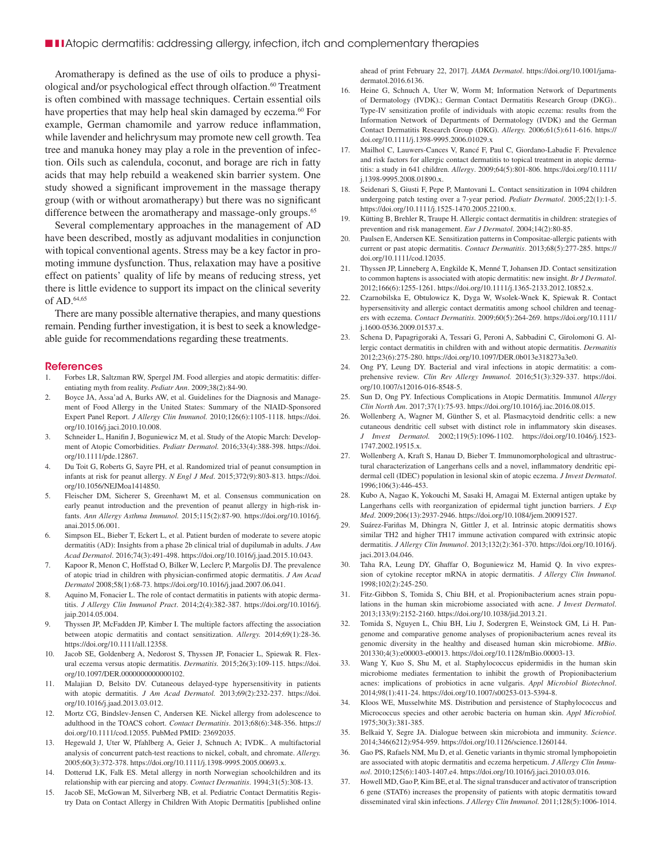Aromatherapy is defined as the use of oils to produce a physiological and/or psychological effect through olfaction.<sup>60</sup> Treatment is often combined with massage techniques. Certain essential oils have properties that may help heal skin damaged by eczema.<sup>60</sup> For example, German chamomile and yarrow reduce inflammation, while lavender and helichrysum may promote new cell growth. Tea tree and manuka honey may play a role in the prevention of infection. Oils such as calendula, coconut, and borage are rich in fatty acids that may help rebuild a weakened skin barrier system. One study showed a significant improvement in the massage therapy group (with or without aromatherapy) but there was no significant difference between the aromatherapy and massage-only groups.<sup>65</sup>

Several complementary approaches in the management of AD have been described, mostly as adjuvant modalities in conjunction with topical conventional agents. Stress may be a key factor in promoting immune dysfunction. Thus, relaxation may have a positive effect on patients' quality of life by means of reducing stress, yet there is little evidence to support its impact on the clinical severity of AD.64,65

There are many possible alternative therapies, and many questions remain. Pending further investigation, it is best to seek a knowledgeable guide for recommendations regarding these treatments.

#### References

- 1. Forbes LR, Saltzman RW, Spergel JM. Food allergies and atopic dermatitis: differentiating myth from reality. *Pediatr Ann*. 2009;38(2):84-90.
- 2. Boyce JA, Assa'ad A, Burks AW, et al. Guidelines for the Diagnosis and Management of Food Allergy in the United States: Summary of the NIAID-Sponsored Expert Panel Report. *J Allergy Clin Immunol.* 2010;126(6):1105-1118. https://doi. org/10.1016/j.jaci.2010.10.008.
- 3. Schneider L, Hanifin J, Boguniewicz M, et al. Study of the Atopic March: Development of Atopic Comorbidities. *Pediatr Dermatol.* 2016;33(4):388-398. https://doi. org/10.1111/pde.12867.
- 4. Du Toit G, Roberts G, Sayre PH, et al. Randomized trial of peanut consumption in infants at risk for peanut allergy. *N Engl J Med*. 2015;372(9):803-813. https://doi. org/10.1056/NEJMoa1414850.
- 5. Fleischer DM, Sicherer S, Greenhawt M, et al. Consensus communication on early peanut introduction and the prevention of peanut allergy in high-risk infants. *Ann Allergy Asthma Immunol.* 2015;115(2):87-90. https://doi.org/10.1016/j. anai.2015.06.001.
- 6. Simpson EL, Bieber T, Eckert L, et al. Patient burden of moderate to severe atopic dermatitis (AD): Insights from a phase 2b clinical trial of dupilumab in adults. *J Am Acad Dermatol*. 2016;74(3):491-498. https://doi.org/10.1016/j.jaad.2015.10.043.
- Kapoor R, Menon C, Hoffstad O, Bilker W, Leclerc P, Margolis DJ. The prevalence of atopic triad in children with physician-confirmed atopic dermatitis. *J Am Acad Dermatol* 2008;58(1):68-73. https://doi.org/10.1016/j.jaad.2007.06.041.
- 8. Aquino M, Fonacier L. The role of contact dermatitis in patients with atopic dermatitis. *J Allergy Clin Immunol Pract*. 2014;2(4):382-387. https://doi.org/10.1016/j. jaip.2014.05.004.
- 9. Thyssen JP, McFadden JP, Kimber I. The multiple factors affecting the association between atopic dermatitis and contact sensitization. *Allergy.* 2014;69(1):28-36. https://doi.org/10.1111/all.12358.
- 10. Jacob SE, Goldenberg A, Nedorost S, Thyssen JP, Fonacier L, Spiewak R. Flexural eczema versus atopic dermatitis. *Dermatitis.* 2015;26(3):109-115. https://doi. org/10.1097/DER.0000000000000102.
- 11. Malajian D, Belsito DV. Cutaneous delayed-type hypersensitivity in patients with atopic dermatitis. *J Am Acad Dermatol.* 2013;69(2):232-237. https://doi. org/10.1016/j.jaad.2013.03.012.
- 12. Mortz CG, Bindslev-Jensen C, Andersen KE. Nickel allergy from adolescence to adulthood in the TOACS cohort. *Contact Dermatitis*. 2013;68(6):348-356. https:// doi.org/10.1111/cod.12055. PubMed PMID: 23692035.
- 13. Hegewald J, Uter W, Pfahlberg A, Geier J, Schnuch A; IVDK.. A multifactorial analysis of concurrent patch-test reactions to nickel, cobalt, and chromate. *Allergy.* 2005;60(3):372-378. https://doi.org/10.1111/j.1398-9995.2005.00693.x.
- Dotterud LK, Falk ES. Metal allergy in north Norwegian schoolchildren and its relationship with ear piercing and atopy. *Contact Dermatitis*. 1994;31(5):308-13.
- 15. Jacob SE, McGowan M, Silverberg NB, et al. Pediatric Contact Dermatitis Registry Data on Contact Allergy in Children With Atopic Dermatitis [published online

ahead of print February 22, 2017]. *JAMA Dermatol*. https://doi.org/10.1001/jamadermatol.2016.6136.

- 16. Heine G, Schnuch A, Uter W, Worm M; Information Network of Departments of Dermatology (IVDK).; German Contact Dermatitis Research Group (DKG).. Type-IV sensitization profile of individuals with atopic eczema: results from the Information Network of Departments of Dermatology (IVDK) and the German Contact Dermatitis Research Group (DKG). *Allergy.* 2006;61(5):611-616. https:// doi.org/10.1111/j.1398-9995.2006.01029.x
- 17. Mailhol C, Lauwers-Cances V, Rancé F, Paul C, Giordano-Labadie F. Prevalence and risk factors for allergic contact dermatitis to topical treatment in atopic dermatitis: a study in 641 children. *Allergy*. 2009;64(5):801-806. https://doi.org/10.1111/ j.1398-9995.2008.01890.x.
- 18. Seidenari S, Giusti F, Pepe P, Mantovani L. Contact sensitization in 1094 children undergoing patch testing over a 7-year period. *Pediatr Dermatol*. 2005;22(1):1-5. https://doi.org/10.1111/j.1525-1470.2005.22100.x.
- 19. Kütting B, Brehler R, Traupe H. Allergic contact dermatitis in children: strategies of prevention and risk management. *Eur J Dermatol*. 2004;14(2):80-85.
- 20. Paulsen E, Andersen KE. Sensitization patterns in Compositae-allergic patients with current or past atopic dermatitis. *Contact Dermatitis*. 2013;68(5):277-285. https:// doi.org/10.1111/cod.12035.
- 21. Thyssen JP, Linneberg A, Engkilde K, Menné T, Johansen JD. Contact sensitization to common haptens is associated with atopic dermatitis: new insight. *Br J Dermatol*. 2012;166(6):1255-1261. https://doi.org/10.1111/j.1365-2133.2012.10852.x.
- 22. Czarnobilska E, Obtulowicz K, Dyga W, Wsolek-Wnek K, Spiewak R. Contact hypersensitivity and allergic contact dermatitis among school children and teenagers with eczema. *Contact Dermatitis*. 2009;60(5):264-269. https://doi.org/10.1111/ j.1600-0536.2009.01537.x.
- 23. Schena D, Papagrigoraki A, Tessari G, Peroni A, Sabbadini C, Girolomoni G. Allergic contact dermatitis in children with and without atopic dermatitis. *Dermatitis* 2012;23(6):275-280. https://doi.org/10.1097/DER.0b013e318273a3e0.
- 24. Ong PY, Leung DY. Bacterial and viral infections in atopic dermatitis: a comprehensive review. *Clin Rev Allergy Immunol.* 2016;51(3):329-337. https://doi. org/10.1007/s12016-016-8548-5.
- 25. Sun D, Ong PY. Infectious Complications in Atopic Dermatitis. Immunol *Allergy Clin North Am*. 2017;37(1):75-93. https://doi.org/10.1016/j.iac.2016.08.015.
- 26. Wollenberg A, Wagner M, Günther S, et al. Plasmacytoid dendritic cells: a new cutaneous dendritic cell subset with distinct role in inflammatory skin diseases. *J Invest Dermatol.* 2002;119(5):1096-1102. https://doi.org/10.1046/j.1523- 1747.2002.19515.x.
- 27. Wollenberg A, Kraft S, Hanau D, Bieber T. Immunomorphological and ultrastructural characterization of Langerhans cells and a novel, inflammatory dendritic epidermal cell (IDEC) population in lesional skin of atopic eczema. *J Invest Dermatol*. 1996;106(3):446-453.
- 28. Kubo A, Nagao K, Yokouchi M, Sasaki H, Amagai M. External antigen uptake by Langerhans cells with reorganization of epidermal tight junction barriers. *J Exp Med*. 2009;206(13):2937-2946. https://doi.org/10.1084/jem.20091527.
- 29. Suárez-Fariñas M, Dhingra N, Gittler J, et al. Intrinsic atopic dermatitis shows similar TH2 and higher TH17 immune activation compared with extrinsic atopic dermatitis. *J Allergy Clin Immunol*. 2013;132(2):361-370. https://doi.org/10.1016/j. jaci.2013.04.046.
- 30. Taha RA, Leung DY, Ghaffar O, Boguniewicz M, Hamid Q. In vivo expression of cytokine receptor mRNA in atopic dermatitis. *J Allergy Clin Immunol.* 1998;102(2):245-250.
- 31. Fitz-Gibbon S, Tomida S, Chiu BH, et al. Propionibacterium acnes strain populations in the human skin microbiome associated with acne. *J Invest Dermatol*. 2013;133(9):2152-2160. https://doi.org/10.1038/jid.2013.21.
- 32. Tomida S, Nguyen L, Chiu BH, Liu J, Sodergren E, Weinstock GM, Li H. Pangenome and comparative genome analyses of propionibacterium acnes reveal its genomic diversity in the healthy and diseased human skin microbiome. *MBio*. 201330;4(3):e00003-e00013. https://doi.org/10.1128/mBio.00003-13.
- 33. Wang Y, Kuo S, Shu M, et al. Staphylococcus epidermidis in the human skin microbiome mediates fermentation to inhibit the growth of Propionibacterium acnes: implications of probiotics in acne vulgaris. *Appl Microbiol Biotechnol*. 2014;98(1):411-24. https://doi.org/10.1007/s00253-013-5394-8.
- 34. Kloos WE, Musselwhite MS. Distribution and persistence of Staphylococcus and Micrococcus species and other aerobic bacteria on human skin. *Appl Microbiol.*  1975;30(3):381-385.
- 35. Belkaid Y, Segre JA. Dialogue between skin microbiota and immunity. *Science*. 2014;346(6212):954-959. https://doi.org/10.1126/science.1260144.
- 36. Gao PS, Rafaels NM, Mu D, et al. Genetic variants in thymic stromal lymphopoietin are associated with atopic dermatitis and eczema herpeticum. *J Allergy Clin Immunol*. 2010;125(6):1403-1407.e4. https://doi.org/10.1016/j.jaci.2010.03.016.
- 37. Howell MD, Gao P, Kim BE, et al. The signal transducer and activator of transcription 6 gene (STAT6) increases the propensity of patients with atopic dermatitis toward disseminated viral skin infections. *J Allergy Clin Immunol.* 2011;128(5):1006-1014.